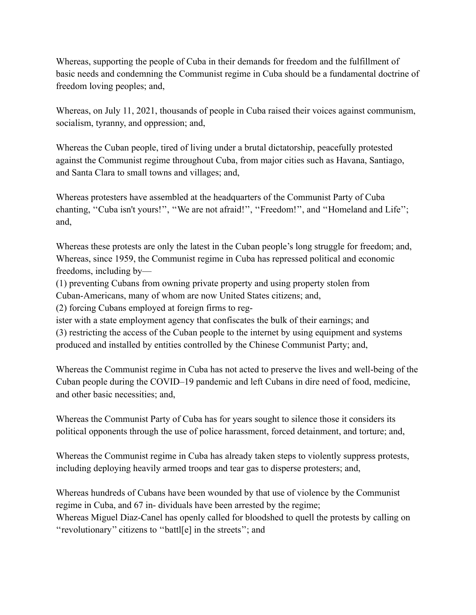Whereas, supporting the people of Cuba in their demands for freedom and the fulfillment of basic needs and condemning the Communist regime in Cuba should be a fundamental doctrine of freedom loving peoples; and,

Whereas, on July 11, 2021, thousands of people in Cuba raised their voices against communism, socialism, tyranny, and oppression; and,

Whereas the Cuban people, tired of living under a brutal dictatorship, peacefully protested against the Communist regime throughout Cuba, from major cities such as Havana, Santiago, and Santa Clara to small towns and villages; and,

Whereas protesters have assembled at the headquarters of the Communist Party of Cuba chanting, "Cuba isn't yours!", "We are not afraid!", "Freedom!", and "Homeland and Life"; and,

Whereas these protests are only the latest in the Cuban people's long struggle for freedom; and, Whereas, since 1959, the Communist regime in Cuba has repressed political and economic freedoms, including by—

(1) preventing Cubans from owning private property and using property stolen from Cuban-Americans, many of whom are now United States citizens; and,

(2) forcing Cubans employed at foreign firms to reg-

ister with a state employment agency that confiscates the bulk of their earnings; and (3) restricting the access of the Cuban people to the internet by using equipment and systems produced and installed by entities controlled by the Chinese Communist Party; and,

Whereas the Communist regime in Cuba has not acted to preserve the lives and well-being of the Cuban people during the COVID–19 pandemic and left Cubans in dire need of food, medicine, and other basic necessities; and,

Whereas the Communist Party of Cuba has for years sought to silence those it considers its political opponents through the use of police harassment, forced detainment, and torture; and,

Whereas the Communist regime in Cuba has already taken steps to violently suppress protests, including deploying heavily armed troops and tear gas to disperse protesters; and,

Whereas hundreds of Cubans have been wounded by that use of violence by the Communist regime in Cuba, and 67 in- dividuals have been arrested by the regime; Whereas Miguel Diaz-Canel has openly called for bloodshed to quell the protests by calling on ''revolutionary'' citizens to ''battl[e] in the streets''; and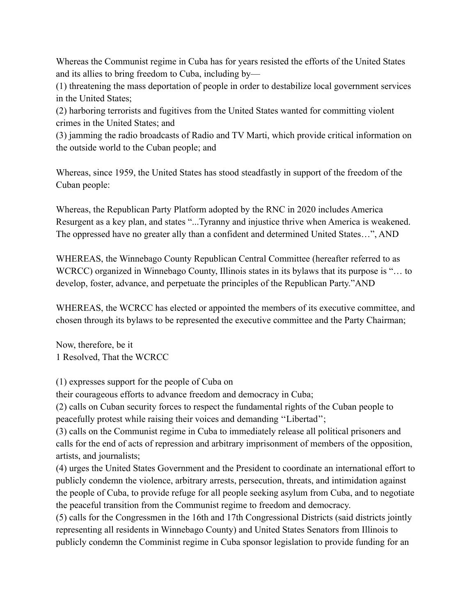Whereas the Communist regime in Cuba has for years resisted the efforts of the United States and its allies to bring freedom to Cuba, including by—

(1) threatening the mass deportation of people in order to destabilize local government services in the United States;

(2) harboring terrorists and fugitives from the United States wanted for committing violent crimes in the United States; and

(3) jamming the radio broadcasts of Radio and TV Marti, which provide critical information on the outside world to the Cuban people; and

Whereas, since 1959, the United States has stood steadfastly in support of the freedom of the Cuban people:

Whereas, the Republican Party Platform adopted by the RNC in 2020 includes America Resurgent as a key plan, and states "...Tyranny and injustice thrive when America is weakened. The oppressed have no greater ally than a confident and determined United States…", AND

WHEREAS, the Winnebago County Republican Central Committee (hereafter referred to as WCRCC) organized in Winnebago County, Illinois states in its bylaws that its purpose is "... to develop, foster, advance, and perpetuate the principles of the Republican Party."AND

WHEREAS, the WCRCC has elected or appointed the members of its executive committee, and chosen through its bylaws to be represented the executive committee and the Party Chairman;

Now, therefore, be it 1 Resolved, That the WCRCC

(1) expresses support for the people of Cuba on

their courageous efforts to advance freedom and democracy in Cuba;

(2) calls on Cuban security forces to respect the fundamental rights of the Cuban people to peacefully protest while raising their voices and demanding ''Libertad'';

(3) calls on the Communist regime in Cuba to immediately release all political prisoners and calls for the end of acts of repression and arbitrary imprisonment of members of the opposition, artists, and journalists;

(4) urges the United States Government and the President to coordinate an international effort to publicly condemn the violence, arbitrary arrests, persecution, threats, and intimidation against the people of Cuba, to provide refuge for all people seeking asylum from Cuba, and to negotiate the peaceful transition from the Communist regime to freedom and democracy.

(5) calls for the Congressmen in the 16th and 17th Congressional Districts (said districts jointly representing all residents in Winnebago County) and United States Senators from Illinois to publicly condemn the Comminist regime in Cuba sponsor legislation to provide funding for an